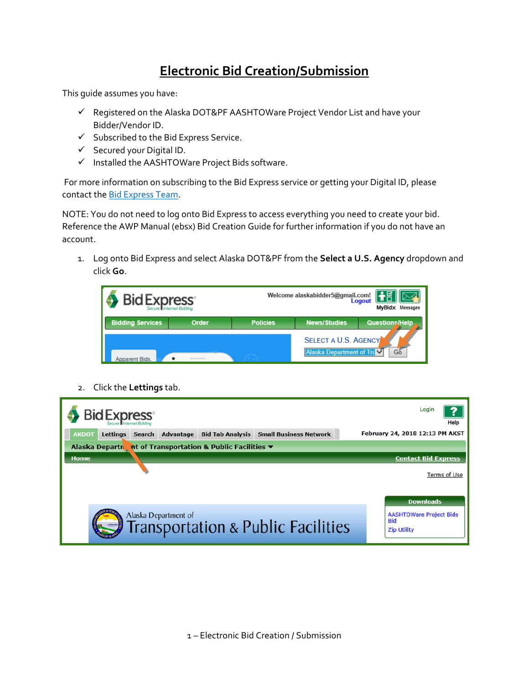# **Electronic Bid Creation/Submission**

This guide assumes you have:

- $\checkmark$  Registered on the Alaska DOT&PF AASHTOWare Project Vendor List and have your Bidder/Vendor ID.
- $\checkmark$  Subscribed to the Bid Express Service.
- $\checkmark$  Secured your Digital ID.
- $\checkmark$  Installed the AASHTOWare Project Bids software.

For more information on subscribing to the Bid Express service or getting your Digital ID, please contact the [Bid Express Team.](https://www.bidx.com/site/contact_us)

NOTE: You do not need to log onto Bid Express to access everything you need to create your bid. Reference the AWP Manual (ebsx) Bid Creation Guide for further information if you do not have an account.

1. Log onto Bid Express and select Alaska DOT&PF from the **Select a U.S. Agency** dropdown and click **Go**.



2. Click the **Lettings** tab.

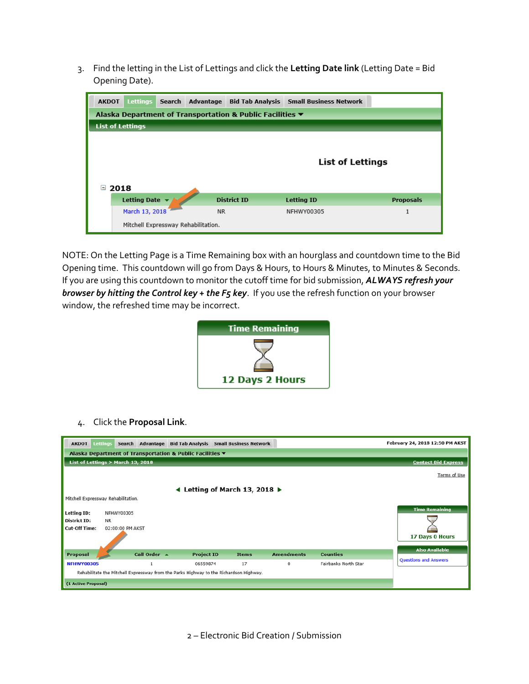3. Find the letting in the List of Lettings and click the **Letting Date link** (Letting Date = Bid Opening Date).

| <b>AKDOT</b>            | <b>Lettings</b>                                           | Search | Advantage                           | <b>Bid Tab Analysis</b> | <b>Small Business Network</b> |                  |  |  |
|-------------------------|-----------------------------------------------------------|--------|-------------------------------------|-------------------------|-------------------------------|------------------|--|--|
|                         | Alaska Department of Transportation & Public Facilities ▼ |        |                                     |                         |                               |                  |  |  |
| <b>List of Lettings</b> |                                                           |        |                                     |                         |                               |                  |  |  |
| Ξ                       | <b>List of Lettings</b><br>2018                           |        |                                     |                         |                               |                  |  |  |
|                         | <b>Letting Date</b>                                       |        |                                     | <b>District ID</b>      | <b>Letting ID</b>             | <b>Proposals</b> |  |  |
|                         | March 13, 2018                                            |        | <b>NR</b>                           |                         | NFHWY00305                    |                  |  |  |
|                         |                                                           |        | Mitchell Expressway Rehabilitation. |                         |                               |                  |  |  |

NOTE: On the Letting Page is a Time Remaining box with an hourglass and countdown time to the Bid Opening time. This countdown will go from Days & Hours, to Hours & Minutes, to Minutes & Seconds. If you are using this countdown to monitor the cutoff time for bid submission, *ALWAYS refresh your browser by hitting the Control key + the F5 key*. If you use the refresh function on your browser window, the refreshed time may be incorrect.



4. Click the **Proposal Link**.

| <b>AKDOT</b>                                              | <b>Lettings</b>                     | Search Advantage |                   | <b>Bid Tab Analysis Small Business Network</b>                                         |                   |                      | February 24, 2018 12:50 PM AKST |  |
|-----------------------------------------------------------|-------------------------------------|------------------|-------------------|----------------------------------------------------------------------------------------|-------------------|----------------------|---------------------------------|--|
| Alaska Department of Transportation & Public Facilities ▼ |                                     |                  |                   |                                                                                        |                   |                      |                                 |  |
| List of Lettings > March 13, 2018                         |                                     |                  |                   |                                                                                        |                   |                      | <b>Contact Bid Express</b>      |  |
|                                                           |                                     |                  |                   |                                                                                        |                   |                      | Terms of Use                    |  |
|                                                           |                                     |                  |                   | 4 Letting of March 13, 2018 $\blacktriangleright$                                      |                   |                      |                                 |  |
|                                                           | Mitchell Expressway Rehabilitation. |                  |                   |                                                                                        |                   |                      |                                 |  |
| Letting ID:                                               | NFHWY00305                          |                  |                   |                                                                                        |                   |                      | <b>Time Remaining</b>           |  |
| District ID:                                              | NR.                                 |                  |                   |                                                                                        |                   |                      |                                 |  |
| <b>Cut-Off Time:</b>                                      | 02:00:00 PM AKST                    |                  |                   |                                                                                        |                   |                      |                                 |  |
|                                                           |                                     |                  |                   |                                                                                        |                   |                      | 17 Days 0 Hours                 |  |
|                                                           |                                     | Call Order A     |                   | <b>Items</b>                                                                           | <b>Amendments</b> | <b>Counties</b>      | <b>Also Available</b>           |  |
| Proposal                                                  |                                     |                  | <b>Project ID</b> |                                                                                        |                   |                      | <b>Questions and Answers</b>    |  |
| <b>NFHWY00305</b>                                         |                                     | 1                | 06559874          | 17                                                                                     | 0                 | Fairbanks North Star |                                 |  |
|                                                           |                                     |                  |                   | Rehabilitate the Mitchell Expressway from the Parks Highway to the Richardson Highway. |                   |                      |                                 |  |
| (1 Active Proposal)                                       |                                     |                  |                   |                                                                                        |                   |                      |                                 |  |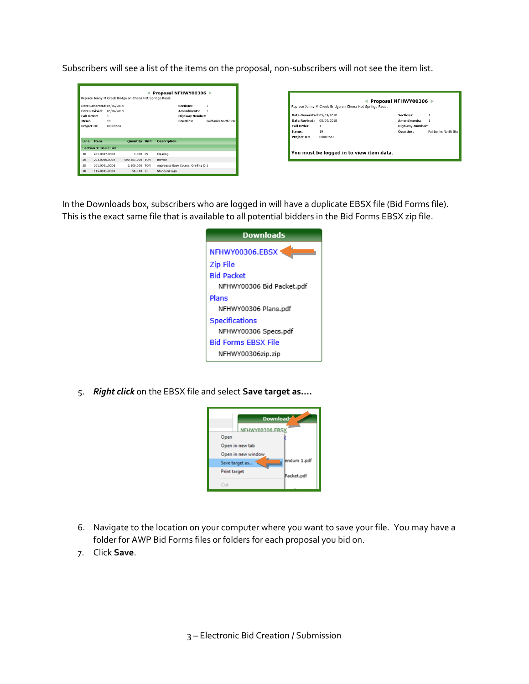Subscribers will see a list of the items on the proposal, non-subscribers will not see the item list.

| Proposal NFHWY00306 ▶<br>Replace Jenny M Creek Bridge on Chena Hot Springs Road. |                                            |                                                                 |                      |  |                                                                                                     |  |  |
|----------------------------------------------------------------------------------|--------------------------------------------|-----------------------------------------------------------------|----------------------|--|-----------------------------------------------------------------------------------------------------|--|--|
| Call Order:<br><b>Items:</b>                                                     | <b>Date Revised:</b><br><b>Project ID:</b> | Date Generated: 05/09/2018<br>05/09/2018<br>1<br>19<br>00069564 |                      |  | Sections:<br>1<br>Amendments:<br><b>Highway Number:</b><br>Counties:<br><b>Fairbanks North Star</b> |  |  |
|                                                                                  |                                            |                                                                 |                      |  |                                                                                                     |  |  |
| Line                                                                             | <b>Item</b>                                |                                                                 | <b>Quantity Unit</b> |  | <b>Description</b>                                                                                  |  |  |
|                                                                                  | <b>Section 1: Basic Bid</b>                |                                                                 |                      |  |                                                                                                     |  |  |
| 10                                                                               | 201-0007-0000                              |                                                                 | 1.000 LS             |  | Clearing                                                                                            |  |  |
| 20                                                                               | 203.0006.0000                              |                                                                 | 609,281.000 TON      |  | Borrow                                                                                              |  |  |
| 25                                                                               | 301.0001.00D1                              |                                                                 | 2,500.000 TON        |  | Aggregate Base Course, Grading D-1                                                                  |  |  |

| Date Generated: 05/09/2018 |            | Sections:              | 1                   |
|----------------------------|------------|------------------------|---------------------|
| <b>Date Revised:</b>       | 05/09/2018 | Amendments:            |                     |
| Call Order:                | 1          | <b>Highway Number:</b> |                     |
| Items:                     | 19         | <b>Counties:</b>       | Fairbanks North Sta |
| <b>Project ID:</b>         | 00069564   |                        |                     |
|                            |            |                        |                     |

In the Downloads box, subscribers who are logged in will have a duplicate EBSX file (Bid Forms file). This is the exact same file that is available to all potential bidders in the Bid Forms EBSX zip file.



5. *Right click* on the EBSX file and select **Save target as….**



- 6. Navigate to the location on your computer where you want to save your file. You may have a folder for AWP Bid Forms files or folders for each proposal you bid on.
- 7. Click **Save**.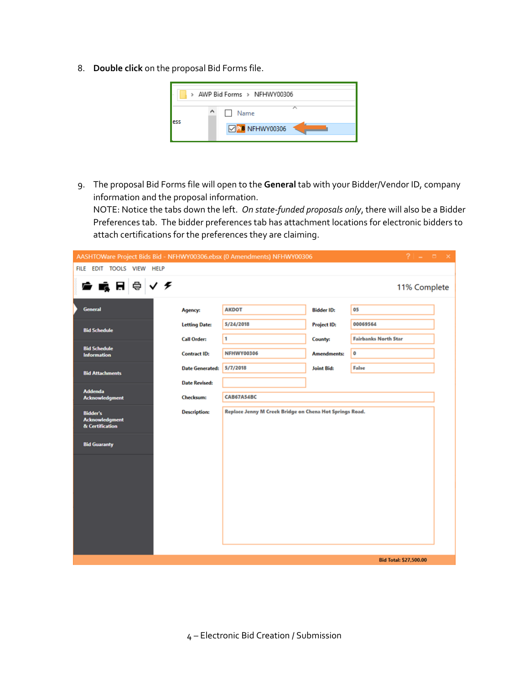8. **Double click** on the proposal Bid Forms file.



9. The proposal Bid Forms file will open to the **General** tab with your Bidder/Vendor ID, company information and the proposal information.

NOTE: Notice the tabs down the left. *On state-funded proposals only*, there will also be a Bidder Preferences tab. The bidder preferences tab has attachment locations for electronic bidders to attach certifications for the preferences they are claiming.



4 – Electronic Bid Creation / Submission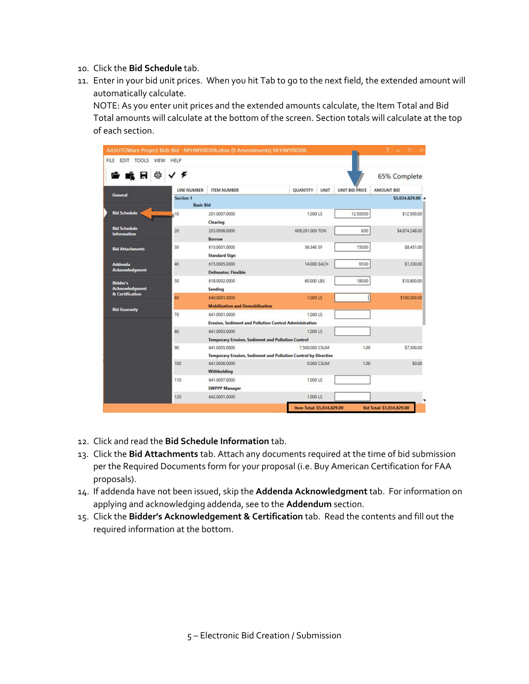- 10. Click the **Bid Schedule** tab.
- 11. Enter in your bid unit prices. When you hit Tab to go to the next field, the extended amount will automatically calculate.

NOTE: As you enter unit prices and the extended amounts calculate, the Item Total and Bid Total amounts will calculate at the bottom of the screen. Section totals will calculate at the top of each section.

| FILE EDIT TOOLS VIEW                      | HELP               | AASHTOWare Project Bids Bid - NFHWY00306.ebsx (0 Amendments) NFHWY00306 |                                |                | $2 - 5$                          |  |  |
|-------------------------------------------|--------------------|-------------------------------------------------------------------------|--------------------------------|----------------|----------------------------------|--|--|
| e.<br>ā A                                 | √≮                 |                                                                         |                                |                | 65% Complete                     |  |  |
|                                           | <b>LINE NUMBER</b> | <b>ITEM NUMBER</b>                                                      | <b>QUANTITY</b><br><b>UNIT</b> | UNIT BID PRICE | AMOUNT BID                       |  |  |
| <b>General</b>                            | Section 1          |                                                                         |                                |                | \$5,034,829.00 4                 |  |  |
|                                           | <b>Basic Bid</b>   |                                                                         |                                |                |                                  |  |  |
| <b>Bid Schedule</b>                       | 10                 | 201.0007.0000                                                           | 1,000 LS                       | 12,500.00      | \$12,500.00                      |  |  |
|                                           |                    | Clearing                                                                |                                |                |                                  |  |  |
| <b>Bid Schedule</b><br><b>Information</b> | 20                 | 203.0006.0000                                                           | 609,281,000 TON                | 8.00           | \$4,874,248.00                   |  |  |
|                                           |                    | Borrow                                                                  |                                |                |                                  |  |  |
| <b>Bid Attachments</b>                    | 30                 | 615.0001.0000                                                           | 56,340 SF                      | 150.00         | \$8,451.00                       |  |  |
|                                           |                    | <b>Standard Sign</b>                                                    |                                |                |                                  |  |  |
| <b>Addenda</b>                            | 40                 | 615.0005.0000                                                           | 14.000 EACH                    | 95.00          | \$1,330.00                       |  |  |
| <b>Acknowledgment</b>                     |                    | <b>Delineator, Flexible</b>                                             |                                |                |                                  |  |  |
| <b>Bidder's</b>                           | 50                 | 618.0002.0000                                                           | 60.000 LBS                     | 180.00         | \$10,800.00                      |  |  |
| <b>Acknowledgment</b>                     |                    | Seeding                                                                 |                                |                |                                  |  |  |
| & Certification                           | 60                 | 640.0001.0000                                                           | 1.000 LS                       |                | \$100,000.00                     |  |  |
|                                           |                    | <b>Mobilization and Demobilization</b>                                  |                                |                |                                  |  |  |
| <b>Bid Guaranty</b>                       | 70                 | 641.0001.0000                                                           | 1.000 LS                       |                |                                  |  |  |
|                                           |                    | Erosion, Sediment and Pollution Control Administration                  |                                |                |                                  |  |  |
|                                           | 80                 | 641.0003.0000                                                           | 1.000 LS                       |                |                                  |  |  |
|                                           |                    | <b>Temporary Erosion, Sediment and Pollution Control</b>                |                                |                |                                  |  |  |
|                                           | 90                 | 641.0005.0000                                                           | 7.500.000 CSUM                 | 1.00           | \$7,500.00                       |  |  |
|                                           |                    | Temporary Erosion, Sediment and Pollution Control by Directive          |                                |                |                                  |  |  |
|                                           | 100                | 641.0006.0000                                                           | 0.000 CSUM                     | 1.00           | \$0.00                           |  |  |
|                                           |                    | Withholding                                                             |                                |                |                                  |  |  |
|                                           | 110                | 641.0007.0000                                                           | 1.000 LS                       |                |                                  |  |  |
|                                           |                    | <b>SWPPP Manager</b>                                                    |                                |                |                                  |  |  |
|                                           | 120                | 642.0001.0000                                                           | 1.000 LS                       |                |                                  |  |  |
|                                           |                    |                                                                         |                                |                |                                  |  |  |
|                                           |                    |                                                                         | Item Total: \$5,034,829.00     |                | <b>Bid Total: \$5,034,829.00</b> |  |  |

- 12. Click and read the **Bid Schedule Information** tab.
- 13. Click the **Bid Attachments** tab. Attach any documents required at the time of bid submission per the Required Documents form for your proposal (i.e. Buy American Certification for FAA proposals).
- 14. If addenda have not been issued, skip the **Addenda Acknowledgment** tab. For information on applying and acknowledging addenda, see to the **Addendum** section.
- 15. Click the **Bidder's Acknowledgement & Certification** tab. Read the contents and fill out the required information at the bottom.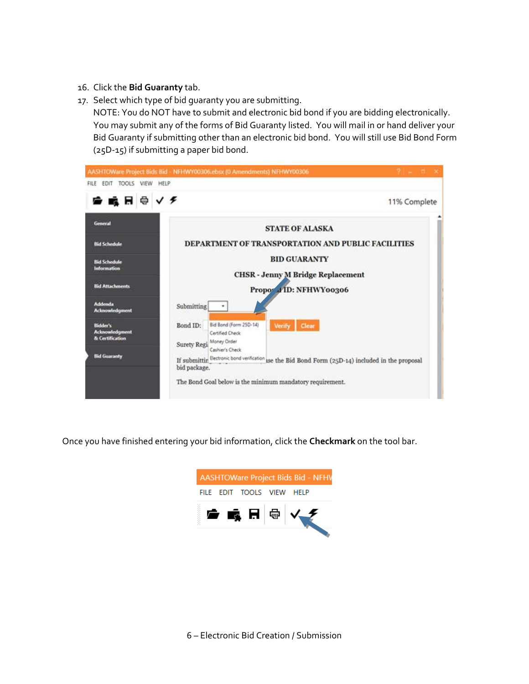- 16. Click the **Bid Guaranty** tab.
- 17. Select which type of bid guaranty you are submitting.

NOTE: You do NOT have to submit and electronic bid bond if you are bidding electronically. You may submit any of the forms of Bid Guaranty listed. You will mail in or hand deliver your Bid Guaranty if submitting other than an electronic bid bond. You will still use Bid Bond Form (25D-15) if submitting a paper bid bond.



Once you have finished entering your bid information, click the **Checkmark** on the tool bar.

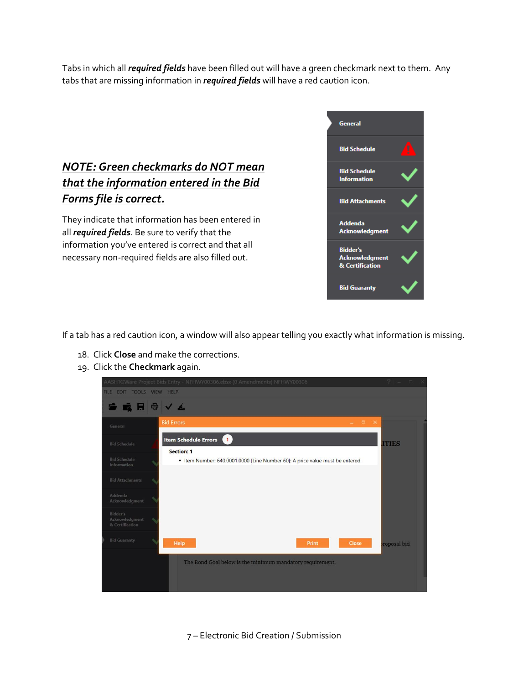Tabs in which all *required fields* have been filled out will have a green checkmark next to them. Any tabs that are missing information in *required fields* will have a red caution icon.

## *NOTE: Green checkmarks do NOT mean that the information entered in the Bid Forms file is correct.*

They indicate that information has been entered in all *required fields*. Be sure to verify that the information you've entered is correct and that all necessary non-required fields are also filled out.



If a tab has a red caution icon, a window will also appear telling you exactly what information is missing.

- 18. Click **Close** and make the corrections.
- 19. Click the **Checkmark** again.



7 – Electronic Bid Creation / Submission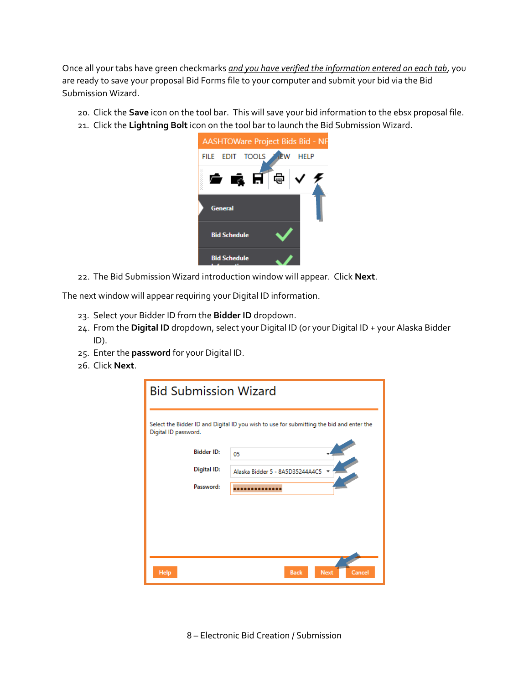Once all your tabs have green checkmarks *and you have verified the information entered on each tab*, you are ready to save your proposal Bid Forms file to your computer and submit your bid via the Bid Submission Wizard.

- 20. Click the **Save** icon on the tool bar. This will save your bid information to the ebsx proposal file.
- 21. Click the **Lightning Bolt** icon on the tool bar to launch the Bid Submission Wizard.



22. The Bid Submission Wizard introduction window will appear. Click **Next**.

The next window will appear requiring your Digital ID information.

- 23. Select your Bidder ID from the **Bidder ID** dropdown.
- 24. From the **Digital ID** dropdown, select your Digital ID (or your Digital ID + your Alaska Bidder ID).
- 25. Enter the **password** for your Digital ID.
- 26. Click **Next**.

| <b>Bid Submission Wizard</b>                                                                                     |                                      |  |  |  |  |  |  |
|------------------------------------------------------------------------------------------------------------------|--------------------------------------|--|--|--|--|--|--|
| Select the Bidder ID and Digital ID you wish to use for submitting the bid and enter the<br>Digital ID password. |                                      |  |  |  |  |  |  |
| <b>Bidder ID:</b>                                                                                                | 05                                   |  |  |  |  |  |  |
| <b>Digital ID:</b>                                                                                               | Alaska Bidder 5 - 8A5D35244A4C5      |  |  |  |  |  |  |
| Password:                                                                                                        |                                      |  |  |  |  |  |  |
|                                                                                                                  |                                      |  |  |  |  |  |  |
|                                                                                                                  |                                      |  |  |  |  |  |  |
|                                                                                                                  |                                      |  |  |  |  |  |  |
| <b>Help</b>                                                                                                      | Cancel<br><b>Back</b><br><b>Next</b> |  |  |  |  |  |  |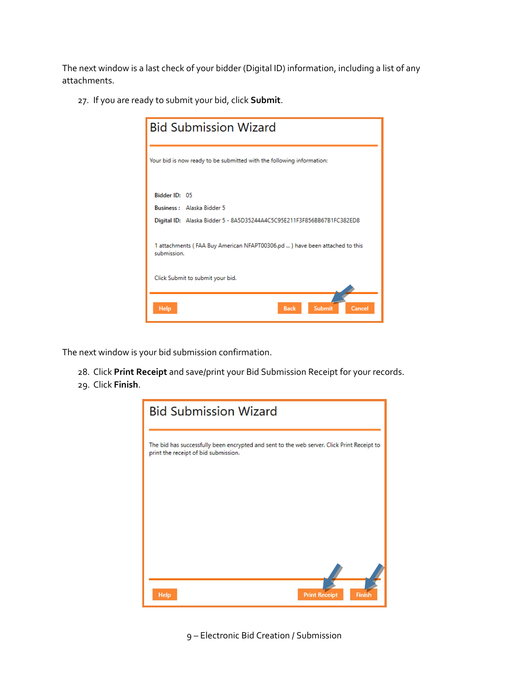The next window is a last check of your bidder (Digital ID) information, including a list of any attachments.

27. If you are ready to submit your bid, click **Submit**.



The next window is your bid submission confirmation.

- 28. Click **Print Receipt** and save/print your Bid Submission Receipt for your records.
- 29. Click **Finish**.



9 – Electronic Bid Creation / Submission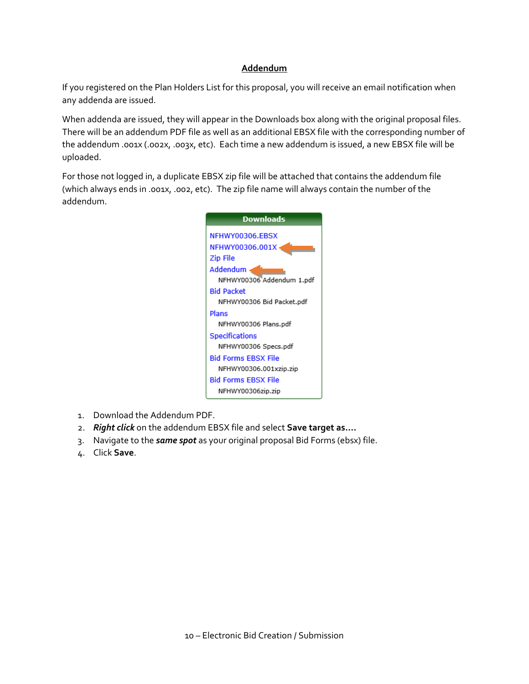#### **Addendum**

If you registered on the Plan Holders List for this proposal, you will receive an email notification when any addenda are issued.

When addenda are issued, they will appear in the Downloads box along with the original proposal files. There will be an addendum PDF file as well as an additional EBSX file with the corresponding number of the addendum .001x (.002x, .003x, etc). Each time a new addendum is issued, a new EBSX file will be uploaded.

For those not logged in, a duplicate EBSX zip file will be attached that contains the addendum file (which always ends in .001x, .002, etc). The zip file name will always contain the number of the addendum.



- 1. Download the Addendum PDF.
- 2. *Right click* on the addendum EBSX file and select **Save target as….**
- 3. Navigate to the *same spot* as your original proposal Bid Forms (ebsx) file.
- 4. Click **Save**.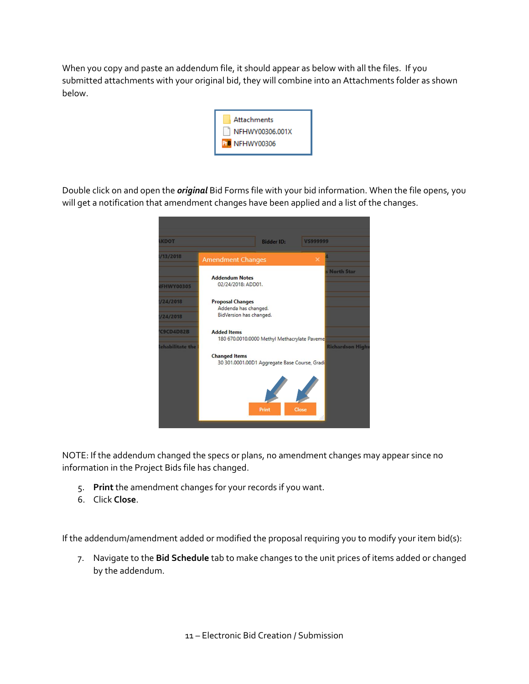When you copy and paste an addendum file, it should appear as below with all the files. If you submitted attachments with your original bid, they will combine into an Attachments folder as shown below.



Double click on and open the *original* Bid Forms file with your bid information. When the file opens, you will get a notification that amendment changes have been applied and a list of the changes.



NOTE: If the addendum changed the specs or plans, no amendment changes may appear since no information in the Project Bids file has changed.

- 5. **Print** the amendment changes for your records if you want.
- 6. Click **Close**.

If the addendum/amendment added or modified the proposal requiring you to modify your item bid(s):

7. Navigate to the **Bid Schedule** tab to make changes to the unit prices of items added or changed by the addendum.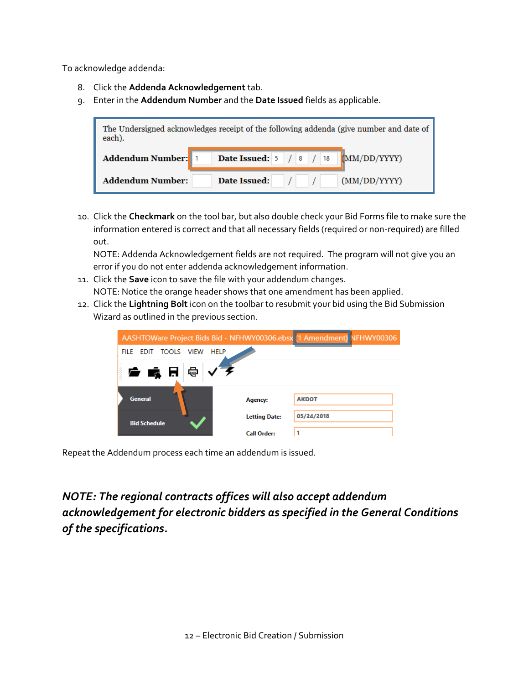To acknowledge addenda:

- 8. Click the **Addenda Acknowledgement** tab.
- 9. Enter in the **Addendum Number** and the **Date Issued** fields as applicable.



10. Click the **Checkmark** on the tool bar, but also double check your Bid Forms file to make sure the information entered is correct and that all necessary fields (required or non-required) are filled out.

NOTE: Addenda Acknowledgement fields are not required. The program will not give you an error if you do not enter addenda acknowledgement information.

- 11. Click the **Save** icon to save the file with your addendum changes. NOTE: Notice the orange header shows that one amendment has been applied.
- 12. Click the **Lightning Bolt** icon on the toolbar to resubmit your bid using the Bid Submission Wizard as outlined in the previous section.

| AASHTOWare Project Bids Bid - NFHWY00306.ebsx [1 Amendment) NFHWY00306 |                      |              |  |
|------------------------------------------------------------------------|----------------------|--------------|--|
| EDIT TOOLS VIEW<br><b>HELP</b><br><b>FILE</b>                          |                      |              |  |
| ● 嘎 日 @   √ 彡                                                          |                      |              |  |
| <b>General</b>                                                         | Agency:              | <b>AKDOT</b> |  |
| <b>Bid Schedule</b>                                                    | <b>Letting Date:</b> | 05/24/2018   |  |
|                                                                        | <b>Call Order:</b>   |              |  |

Repeat the Addendum process each time an addendum is issued.

*NOTE: The regional contracts offices will also accept addendum acknowledgement for electronic bidders as specified in the General Conditions of the specifications.*